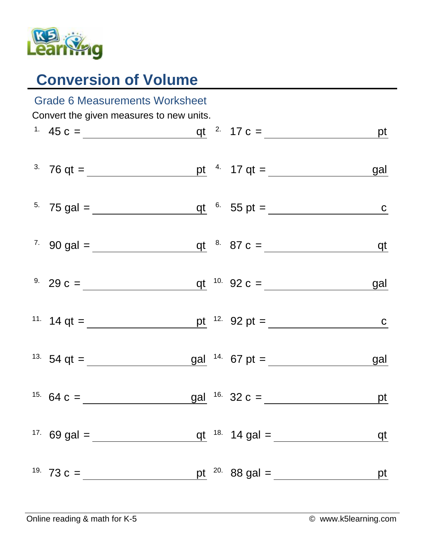

## **Conversion of Volume**

| <b>Grade 6 Measurements Worksheet</b>    |                                                                                                                                                    |  |  |                  |            |  |  |  |  |
|------------------------------------------|----------------------------------------------------------------------------------------------------------------------------------------------------|--|--|------------------|------------|--|--|--|--|
| Convert the given measures to new units. |                                                                                                                                                    |  |  |                  |            |  |  |  |  |
|                                          | <sup>1</sup> 45 c = $q t^{2}$ 17 c = $pt$                                                                                                          |  |  |                  |            |  |  |  |  |
|                                          | <sup>3</sup> 76 qt = <u>pt</u> <sup>4</sup> 17 qt =                                                                                                |  |  |                  | <u>gal</u> |  |  |  |  |
|                                          |                                                                                                                                                    |  |  |                  |            |  |  |  |  |
|                                          | <sup>7</sup> 90 gal = $q t$ <sup>8</sup> 87 c = $q t$                                                                                              |  |  |                  |            |  |  |  |  |
|                                          | <sup>9.</sup> 29 c = $q t$ <sup>10.</sup> 92 c =                                                                                                   |  |  |                  | gal        |  |  |  |  |
|                                          | <sup>11.</sup> 14 qt = <u>pt</u> <sup>12.</sup> 92 pt = <u>c</u>                                                                                   |  |  |                  |            |  |  |  |  |
|                                          | <sup>13.</sup> 54 qt = $\frac{gal}{\sqrt{14.67 \text{ pt}}}$ = $\frac{14.67 \text{ pt}}{67 \text{ pt}}$ = $\frac{34.67 \text{ pt}}{67 \text{ pt}}$ |  |  |                  | <u>gal</u> |  |  |  |  |
|                                          |                                                                                                                                                    |  |  |                  | <u>pt</u>  |  |  |  |  |
|                                          | <sup>17.</sup> 69 gal = ______                                                                                                                     |  |  |                  | qt         |  |  |  |  |
|                                          | <sup>19.</sup> 73 c = $\frac{ }{ }$                                                                                                                |  |  | pt $20.88$ gal = | pt         |  |  |  |  |